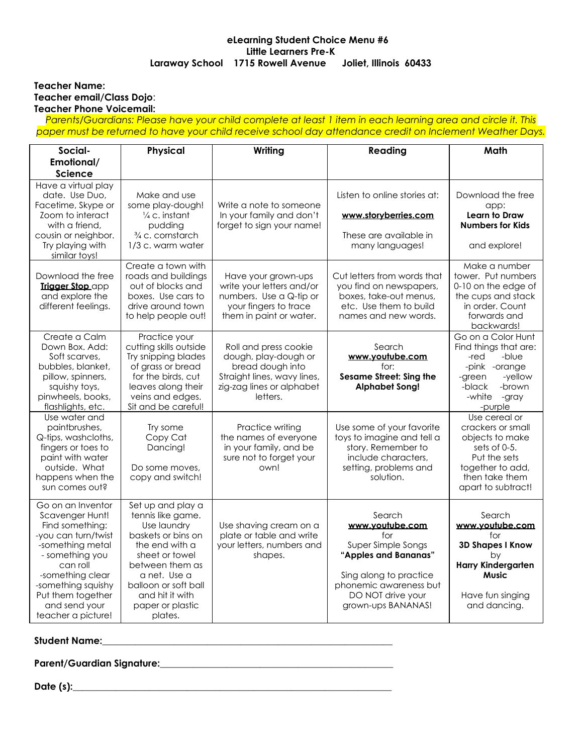### **eLearning Student Choice Menu #6 Little Learners Pre-K Laraway School 1715 Rowell Avenue Joliet, Illinois 60433**

### **Teacher Name: Teacher email/Class Dojo**: **Teacher Phone Voicemail:**

Parents/Guardians: Please have your child complete at least 1 item in each learning area and circle it. This *paper must be returned to have your child receive school day attendance credit on Inclement Weather Days.*

| Social-                                                                                                                                                                                                                                 | Physical                                                                                                                                                                                                                     | Writing                                                                                                                                   | Reading                                                                                                                                                                       | Math                                                                                                                                                 |
|-----------------------------------------------------------------------------------------------------------------------------------------------------------------------------------------------------------------------------------------|------------------------------------------------------------------------------------------------------------------------------------------------------------------------------------------------------------------------------|-------------------------------------------------------------------------------------------------------------------------------------------|-------------------------------------------------------------------------------------------------------------------------------------------------------------------------------|------------------------------------------------------------------------------------------------------------------------------------------------------|
| Emotional/                                                                                                                                                                                                                              |                                                                                                                                                                                                                              |                                                                                                                                           |                                                                                                                                                                               |                                                                                                                                                      |
| Science                                                                                                                                                                                                                                 |                                                                                                                                                                                                                              |                                                                                                                                           |                                                                                                                                                                               |                                                                                                                                                      |
| Have a virtual play<br>date. Use Duo,<br>Facetime, Skype or                                                                                                                                                                             | Make and use<br>some play-dough!                                                                                                                                                                                             | Write a note to someone                                                                                                                   | Listen to online stories at:                                                                                                                                                  | Download the free<br>app:                                                                                                                            |
| Zoom to interact<br>with a friend.<br>cousin or neighbor.                                                                                                                                                                               | $\frac{1}{4}$ c. instant<br>pudding<br>3/4 c. cornstarch                                                                                                                                                                     | In your family and don't<br>forget to sign your name!                                                                                     | www.storyberries.com<br>These are available in                                                                                                                                | Learn to Draw<br><b>Numbers for Kids</b>                                                                                                             |
| Try playing with<br>similar toys!                                                                                                                                                                                                       | 1/3 c. warm water                                                                                                                                                                                                            |                                                                                                                                           | many languages!                                                                                                                                                               | and explore!                                                                                                                                         |
| Download the free<br><b>Trigger Stop app</b><br>and explore the<br>different feelings.                                                                                                                                                  | Create a town with<br>roads and buildings<br>out of blocks and<br>boxes. Use cars to<br>drive around town<br>to help people out!                                                                                             | Have your grown-ups<br>write your letters and/or<br>numbers. Use a Q-tip or<br>your fingers to trace<br>them in paint or water.           | Cut letters from words that<br>you find on newspapers,<br>boxes, take-out menus,<br>etc. Use them to build<br>names and new words.                                            | Make a number<br>tower. Put numbers<br>0-10 on the edge of<br>the cups and stack<br>in order. Count<br>forwards and<br>backwards!                    |
| Create a Calm<br>Down Box, Add:<br>Soft scarves,<br>bubbles, blanket,<br>pillow, spinners,<br>squishy toys,<br>pinwheels, books,<br>flashlights, etc.                                                                                   | Practice your<br>cutting skills outside<br>Try snipping blades<br>of grass or bread<br>for the birds, cut<br>leaves along their<br>veins and edges.<br>Sit and be careful!                                                   | Roll and press cookie<br>dough, play-dough or<br>bread dough into<br>Straight lines, wavy lines,<br>zig-zag lines or alphabet<br>letters. | Search<br>www.youtube.com<br>for:<br><b>Sesame Street: Sing the</b><br><b>Alphabet Song!</b>                                                                                  | Go on a Color Hunt<br>Find things that are:<br>-blue<br>-red<br>-pink -orange<br>-yellow<br>-green<br>-brown<br>-black<br>-white<br>-gray<br>-purple |
| Use water and<br>paintbrushes,<br>Q-tips, washcloths,<br>fingers or toes to<br>paint with water<br>outside. What<br>happens when the<br>sun comes out?                                                                                  | Try some<br>Copy Cat<br>Dancing!<br>Do some moves.<br>copy and switch!                                                                                                                                                       | Practice writing<br>the names of everyone<br>in your family, and be<br>sure not to forget your<br>own!                                    | Use some of your favorite<br>toys to imagine and tell a<br>story. Remember to<br>include characters,<br>setting, problems and<br>solution.                                    | Use cereal or<br>crackers or small<br>objects to make<br>sets of 0-5.<br>Put the sets<br>together to add,<br>then take them<br>apart to subtract!    |
| Go on an Inventor<br>Scavenger Hunt!<br>Find something:<br>-you can turn/twist<br>-something metal<br>- something you<br>can roll<br>-something clear<br>-something squishy<br>Put them together<br>and send your<br>teacher a picture! | Set up and play a<br>tennis like game.<br>Use laundry<br>baskets or bins on<br>the end with a<br>sheet or towel<br>between them as<br>a net. Use a<br>balloon or soft ball<br>and hit it with<br>paper or plastic<br>plates. | Use shaving cream on a<br>plate or table and write<br>your letters, numbers and<br>shapes.                                                | Search<br>www.youtube.com<br>for<br>Super Simple Songs<br>"Apples and Bananas"<br>Sing along to practice<br>phonemic awareness but<br>DO NOT drive your<br>grown-ups BANANAS! | Search<br>www.youtube.com<br>for<br><b>3D Shapes I Know</b><br>bv<br><b>Harry Kindergarten</b><br><b>Music</b><br>Have fun singing<br>and dancing.   |

# **Student Name:\_\_\_\_\_\_\_\_\_\_\_\_\_\_\_\_\_\_\_\_\_\_\_\_\_\_\_\_\_\_\_\_\_\_\_\_\_\_\_\_\_\_\_\_\_\_\_\_\_\_\_\_\_\_\_\_\_\_\_\_\_**

**Parent/Guardian Signature:\_\_\_\_\_\_\_\_\_\_\_\_\_\_\_\_\_\_\_\_\_\_\_\_\_\_\_\_\_\_\_\_\_\_\_\_\_\_\_\_\_\_\_\_\_\_\_\_\_**

**Date (s):\_\_\_\_\_\_\_\_\_\_\_\_\_\_\_\_\_\_\_\_\_\_\_\_\_\_\_\_\_\_\_\_\_\_\_\_\_\_\_\_\_\_\_\_\_\_\_\_\_\_\_\_\_\_\_\_\_\_\_\_\_\_\_\_\_\_\_**